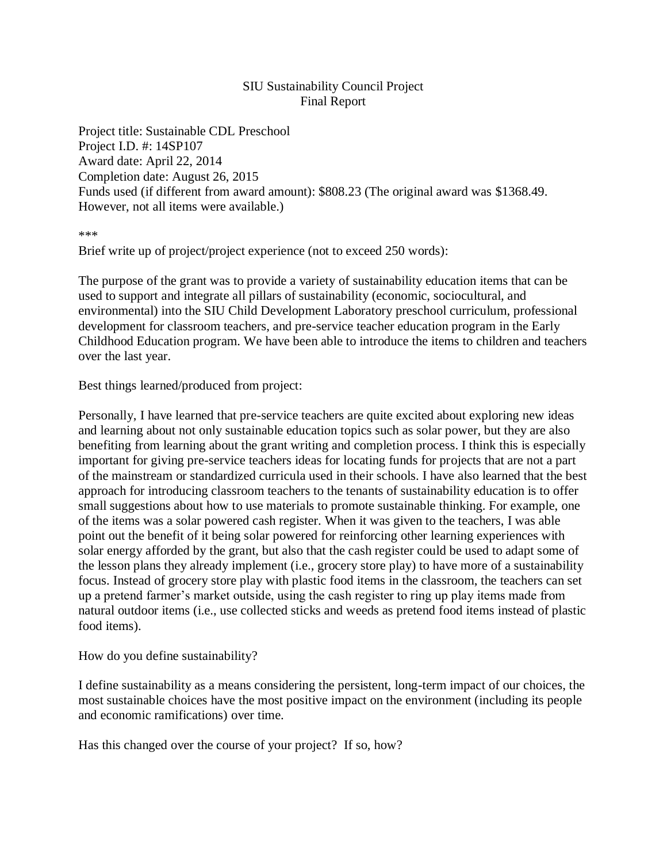## SIU Sustainability Council Project Final Report

Project title: Sustainable CDL Preschool Project I.D. #: 14SP107 Award date: April 22, 2014 Completion date: August 26, 2015 Funds used (if different from award amount): \$808.23 (The original award was \$1368.49. However, not all items were available.)

\*\*\*

Brief write up of project/project experience (not to exceed 250 words):

The purpose of the grant was to provide a variety of sustainability education items that can be used to support and integrate all pillars of sustainability (economic, sociocultural, and environmental) into the SIU Child Development Laboratory preschool curriculum, professional development for classroom teachers, and pre-service teacher education program in the Early Childhood Education program. We have been able to introduce the items to children and teachers over the last year.

Best things learned/produced from project:

Personally, I have learned that pre-service teachers are quite excited about exploring new ideas and learning about not only sustainable education topics such as solar power, but they are also benefiting from learning about the grant writing and completion process. I think this is especially important for giving pre-service teachers ideas for locating funds for projects that are not a part of the mainstream or standardized curricula used in their schools. I have also learned that the best approach for introducing classroom teachers to the tenants of sustainability education is to offer small suggestions about how to use materials to promote sustainable thinking. For example, one of the items was a solar powered cash register. When it was given to the teachers, I was able point out the benefit of it being solar powered for reinforcing other learning experiences with solar energy afforded by the grant, but also that the cash register could be used to adapt some of the lesson plans they already implement (i.e., grocery store play) to have more of a sustainability focus. Instead of grocery store play with plastic food items in the classroom, the teachers can set up a pretend farmer's market outside, using the cash register to ring up play items made from natural outdoor items (i.e., use collected sticks and weeds as pretend food items instead of plastic food items).

How do you define sustainability?

I define sustainability as a means considering the persistent, long-term impact of our choices, the most sustainable choices have the most positive impact on the environment (including its people and economic ramifications) over time.

Has this changed over the course of your project? If so, how?